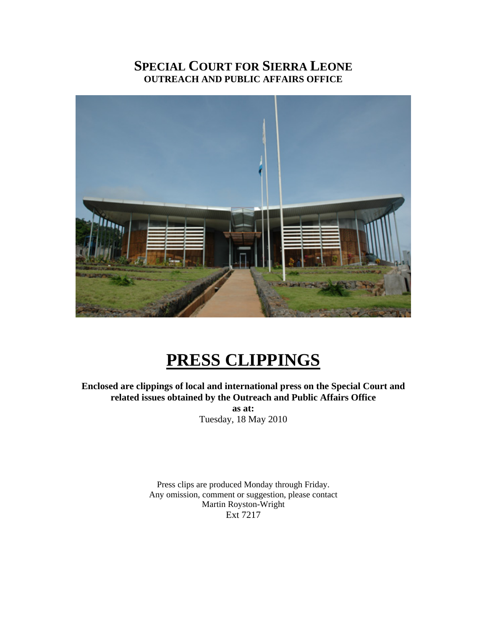# **SPECIAL COURT FOR SIERRA LEONE OUTREACH AND PUBLIC AFFAIRS OFFICE**



# **PRESS CLIPPINGS**

**Enclosed are clippings of local and international press on the Special Court and related issues obtained by the Outreach and Public Affairs Office** 

**as at:**  Tuesday, 18 May 2010

Press clips are produced Monday through Friday. Any omission, comment or suggestion, please contact Martin Royston-Wright Ext 7217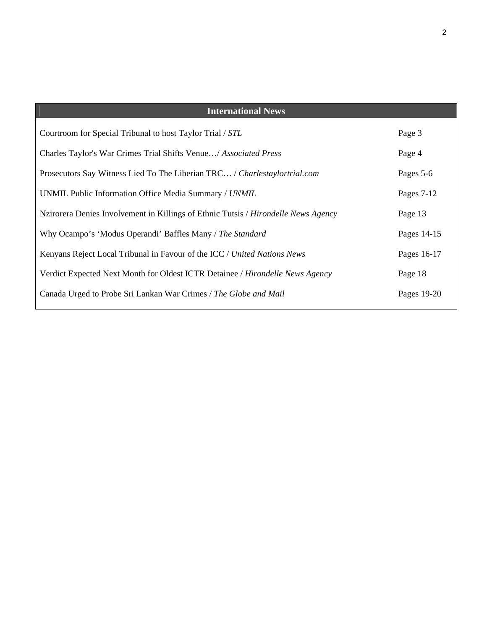| <b>International News</b>                                                            |             |
|--------------------------------------------------------------------------------------|-------------|
| Courtroom for Special Tribunal to host Taylor Trial / STL                            | Page 3      |
| Charles Taylor's War Crimes Trial Shifts Venue/ Associated Press                     | Page 4      |
| Prosecutors Say Witness Lied To The Liberian TRC / Charlestaylortrial.com            | Pages 5-6   |
| UNMIL Public Information Office Media Summary / UNMIL                                | Pages 7-12  |
| Nzirorera Denies Involvement in Killings of Ethnic Tutsis / Hirondelle News Agency   | Page 13     |
| Why Ocampo's 'Modus Operandi' Baffles Many / The Standard                            | Pages 14-15 |
| Kenyans Reject Local Tribunal in Favour of the ICC / United Nations News             | Pages 16-17 |
| Verdict Expected Next Month for Oldest ICTR Detainee / <i>Hirondelle News Agency</i> | Page 18     |
| Canada Urged to Probe Sri Lankan War Crimes / The Globe and Mail                     | Pages 19-20 |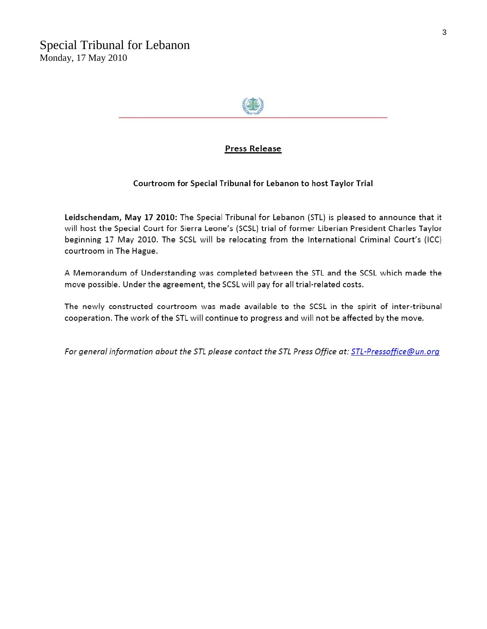

### **Press Release**

#### Courtroom for Special Tribunal for Lebanon to host Taylor Trial

Leidschendam, May 17 2010: The Special Tribunal for Lebanon (STL) is pleased to announce that it will host the Special Court for Sierra Leone's (SCSL) trial of former Liberian President Charles Taylor beginning 17 May 2010. The SCSL will be relocating from the International Criminal Court's (ICC) courtroom in The Hague.

A Memorandum of Understanding was completed between the STL and the SCSL which made the move possible. Under the agreement, the SCSL will pay for all trial-related costs.

The newly constructed courtroom was made available to the SCSL in the spirit of inter-tribunal cooperation. The work of the STL will continue to progress and will not be affected by the move.

For general information about the STL please contact the STL Press Office at: STL-Pressoffice@un.org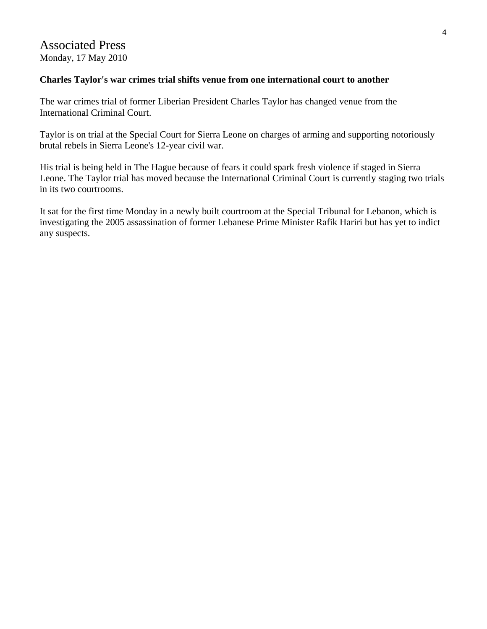### Associated Press Monday, 17 May 2010

### **Charles Taylor's war crimes trial shifts venue from one international court to another**

The war crimes trial of former Liberian President Charles Taylor has changed venue from the International Criminal Court.

Taylor is on trial at the Special Court for Sierra Leone on charges of arming and supporting notoriously brutal rebels in Sierra Leone's 12-year civil war.

His trial is being held in The Hague because of fears it could spark fresh violence if staged in Sierra Leone. The Taylor trial has moved because the International Criminal Court is currently staging two trials in its two courtrooms.

It sat for the first time Monday in a newly built courtroom at the Special Tribunal for Lebanon, which is investigating the 2005 assassination of former Lebanese Prime Minister Rafik Hariri but has yet to indict any suspects.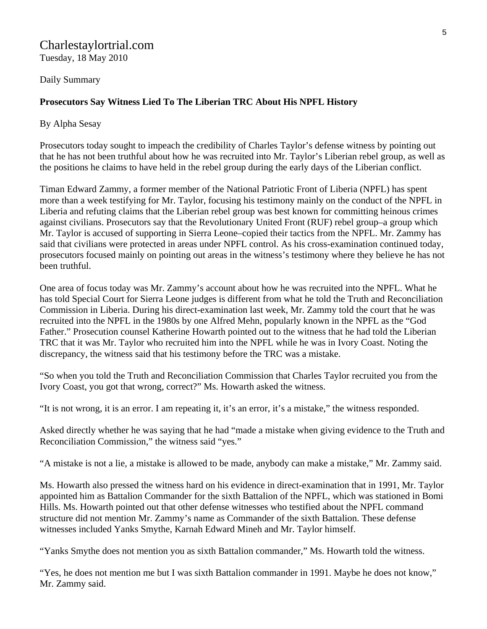### Charlestaylortrial.com Tuesday, 18 May 2010

Daily Summary

### **Prosecutors Say Witness Lied To The Liberian TRC About His NPFL History**

By Alpha Sesay

Prosecutors today sought to impeach the credibility of Charles Taylor's defense witness by pointing out that he has not been truthful about how he was recruited into Mr. Taylor's Liberian rebel group, as well as the positions he claims to have held in the rebel group during the early days of the Liberian conflict.

Timan Edward Zammy, a former member of the National Patriotic Front of Liberia (NPFL) has spent more than a week testifying for Mr. Taylor, focusing his testimony mainly on the conduct of the NPFL in Liberia and refuting claims that the Liberian rebel group was best known for committing heinous crimes against civilians. Prosecutors say that the Revolutionary United Front (RUF) rebel group–a group which Mr. Taylor is accused of supporting in Sierra Leone–copied their tactics from the NPFL. Mr. Zammy has said that civilians were protected in areas under NPFL control. As his cross-examination continued today, prosecutors focused mainly on pointing out areas in the witness's testimony where they believe he has not been truthful.

One area of focus today was Mr. Zammy's account about how he was recruited into the NPFL. What he has told Special Court for Sierra Leone judges is different from what he told the Truth and Reconciliation Commission in Liberia. During his direct-examination last week, Mr. Zammy told the court that he was recruited into the NPFL in the 1980s by one Alfred Mehn, popularly known in the NPFL as the "God Father." Prosecution counsel Katherine Howarth pointed out to the witness that he had told the Liberian TRC that it was Mr. Taylor who recruited him into the NPFL while he was in Ivory Coast. Noting the discrepancy, the witness said that his testimony before the TRC was a mistake.

"So when you told the Truth and Reconciliation Commission that Charles Taylor recruited you from the Ivory Coast, you got that wrong, correct?" Ms. Howarth asked the witness.

"It is not wrong, it is an error. I am repeating it, it's an error, it's a mistake," the witness responded.

Asked directly whether he was saying that he had "made a mistake when giving evidence to the Truth and Reconciliation Commission," the witness said "yes."

"A mistake is not a lie, a mistake is allowed to be made, anybody can make a mistake," Mr. Zammy said.

Ms. Howarth also pressed the witness hard on his evidence in direct-examination that in 1991, Mr. Taylor appointed him as Battalion Commander for the sixth Battalion of the NPFL, which was stationed in Bomi Hills. Ms. Howarth pointed out that other defense witnesses who testified about the NPFL command structure did not mention Mr. Zammy's name as Commander of the sixth Battalion. These defense witnesses included Yanks Smythe, Karnah Edward Mineh and Mr. Taylor himself.

"Yanks Smythe does not mention you as sixth Battalion commander," Ms. Howarth told the witness.

"Yes, he does not mention me but I was sixth Battalion commander in 1991. Maybe he does not know," Mr. Zammy said.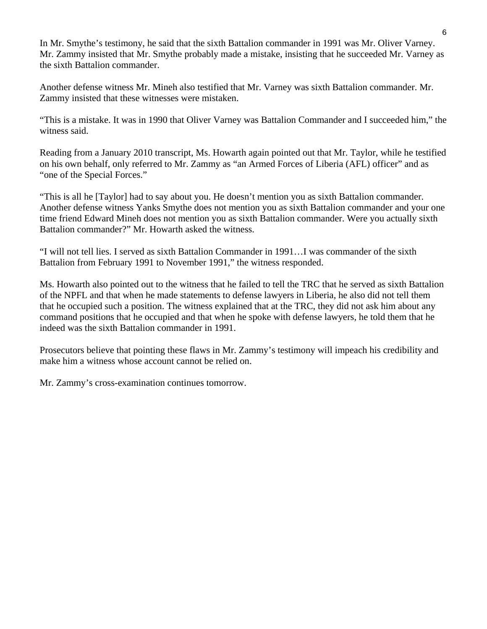In Mr. Smythe's testimony, he said that the sixth Battalion commander in 1991 was Mr. Oliver Varney. Mr. Zammy insisted that Mr. Smythe probably made a mistake, insisting that he succeeded Mr. Varney as the sixth Battalion commander.

Another defense witness Mr. Mineh also testified that Mr. Varney was sixth Battalion commander. Mr. Zammy insisted that these witnesses were mistaken.

"This is a mistake. It was in 1990 that Oliver Varney was Battalion Commander and I succeeded him," the witness said.

Reading from a January 2010 transcript, Ms. Howarth again pointed out that Mr. Taylor, while he testified on his own behalf, only referred to Mr. Zammy as "an Armed Forces of Liberia (AFL) officer" and as "one of the Special Forces."

"This is all he [Taylor] had to say about you. He doesn't mention you as sixth Battalion commander. Another defense witness Yanks Smythe does not mention you as sixth Battalion commander and your one time friend Edward Mineh does not mention you as sixth Battalion commander. Were you actually sixth Battalion commander?" Mr. Howarth asked the witness.

"I will not tell lies. I served as sixth Battalion Commander in 1991…I was commander of the sixth Battalion from February 1991 to November 1991," the witness responded.

Ms. Howarth also pointed out to the witness that he failed to tell the TRC that he served as sixth Battalion of the NPFL and that when he made statements to defense lawyers in Liberia, he also did not tell them that he occupied such a position. The witness explained that at the TRC, they did not ask him about any command positions that he occupied and that when he spoke with defense lawyers, he told them that he indeed was the sixth Battalion commander in 1991.

Prosecutors believe that pointing these flaws in Mr. Zammy's testimony will impeach his credibility and make him a witness whose account cannot be relied on.

Mr. Zammy's cross-examination continues tomorrow.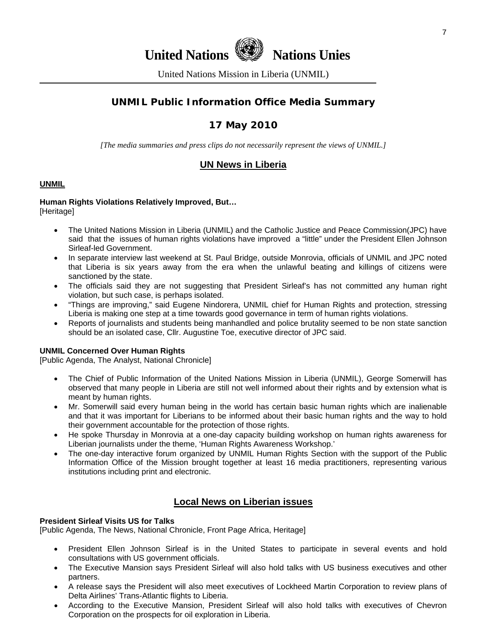

United Nations Mission in Liberia (UNMIL)

### **UNMIL Public Information Office Media Summary**

### **17 May 2010**

*[The media summaries and press clips do not necessarily represent the views of UNMIL.]* 

### **UN News in Liberia**

#### **UNMIL**

#### **Human Rights Violations Relatively Improved, But…**  [Heritage]

- The United Nations Mission in Liberia (UNMIL) and the Catholic Justice and Peace Commission(JPC) have said that the issues of human rights violations have improved a "little" under the President Ellen Johnson Sirleaf-led Government.
- In separate interview last weekend at St. Paul Bridge, outside Monrovia, officials of UNMIL and JPC noted that Liberia is six years away from the era when the unlawful beating and killings of citizens were sanctioned by the state.
- The officials said they are not suggesting that President Sirleaf's has not committed any human right violation, but such case, is perhaps isolated.
- "Things are improving," said Eugene Nindorera, UNMIL chief for Human Rights and protection, stressing Liberia is making one step at a time towards good governance in term of human rights violations.
- Reports of journalists and students being manhandled and police brutality seemed to be non state sanction should be an isolated case, Cllr. Augustine Toe, executive director of JPC said.

#### **UNMIL Concerned Over Human Rights**

[Public Agenda, The Analyst, National Chronicle]

- The Chief of Public Information of the United Nations Mission in Liberia (UNMIL), George Somerwill has observed that many people in Liberia are still not well informed about their rights and by extension what is meant by human rights.
- Mr. Somerwill said every human being in the world has certain basic human rights which are inalienable and that it was important for Liberians to be informed about their basic human rights and the way to hold their government accountable for the protection of those rights.
- He spoke Thursday in Monrovia at a one-day capacity building workshop on human rights awareness for Liberian journalists under the theme, 'Human Rights Awareness Workshop.'
- The one-day interactive forum organized by UNMIL Human Rights Section with the support of the Public Information Office of the Mission brought together at least 16 media practitioners, representing various institutions including print and electronic.

### **Local News on Liberian issues**

#### **President Sirleaf Visits US for Talks**

[Public Agenda, The News, National Chronicle, Front Page Africa, Heritage]

- President Ellen Johnson Sirleaf is in the United States to participate in several events and hold consultations with US government officials.
- The Executive Mansion says President Sirleaf will also hold talks with US business executives and other partners.
- A release says the President will also meet executives of Lockheed Martin Corporation to review plans of Delta Airlines' Trans-Atlantic flights to Liberia.
- According to the Executive Mansion, President Sirleaf will also hold talks with executives of Chevron Corporation on the prospects for oil exploration in Liberia.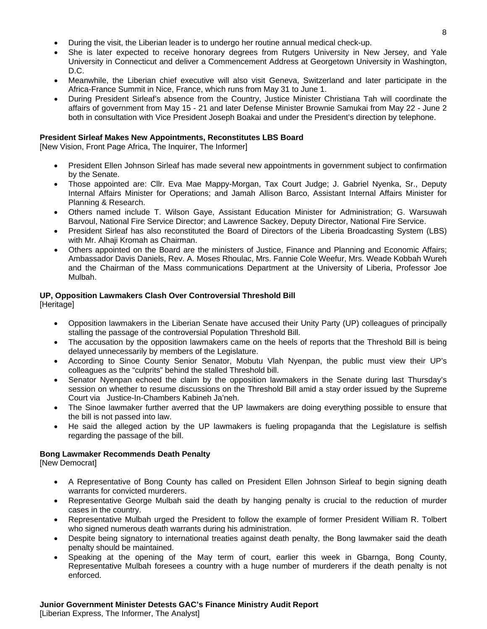- During the visit, the Liberian leader is to undergo her routine annual medical check-up.
- She is later expected to receive honorary degrees from Rutgers University in New Jersey, and Yale University in Connecticut and deliver a Commencement Address at Georgetown University in Washington, D.C.
- Meanwhile, the Liberian chief executive will also visit Geneva, Switzerland and later participate in the Africa-France Summit in Nice, France, which runs from May 31 to June 1.
- During President Sirleaf's absence from the Country, Justice Minister Christiana Tah will coordinate the affairs of government from May 15 - 21 and later Defense Minister Brownie Samukai from May 22 - June 2 both in consultation with Vice President Joseph Boakai and under the President's direction by telephone.

#### **President Sirleaf Makes New Appointments, Reconstitutes LBS Board**

[New Vision, Front Page Africa, The Inquirer, The Informer]

- President Ellen Johnson Sirleaf has made several new appointments in government subject to confirmation by the Senate.
- Those appointed are: Cllr. Eva Mae Mappy-Morgan, Tax Court Judge; J. Gabriel Nyenka, Sr., Deputy Internal Affairs Minister for Operations; and Jamah Allison Barco, Assistant Internal Affairs Minister for Planning & Research.
- Others named include T. Wilson Gaye, Assistant Education Minister for Administration; G. Warsuwah Barvoul, National Fire Service Director; and Lawrence Sackey, Deputy Director, National Fire Service.
- President Sirleaf has also reconstituted the Board of Directors of the Liberia Broadcasting System (LBS) with Mr. Alhaji Kromah as Chairman.
- Others appointed on the Board are the ministers of Justice, Finance and Planning and Economic Affairs; Ambassador Davis Daniels, Rev. A. Moses Rhoulac, Mrs. Fannie Cole Weefur, Mrs. Weade Kobbah Wureh and the Chairman of the Mass communications Department at the University of Liberia, Professor Joe Mulbah.

### **UP, Opposition Lawmakers Clash Over Controversial Threshold Bill**

[Heritage]

- Opposition lawmakers in the Liberian Senate have accused their Unity Party (UP) colleagues of principally stalling the passage of the controversial Population Threshold Bill.
- The accusation by the opposition lawmakers came on the heels of reports that the Threshold Bill is being delayed unnecessarily by members of the Legislature.
- According to Sinoe County Senior Senator, Mobutu Vlah Nyenpan, the public must view their UP's colleagues as the "culprits" behind the stalled Threshold bill.
- Senator Nyenpan echoed the claim by the opposition lawmakers in the Senate during last Thursday's session on whether to resume discussions on the Threshold Bill amid a stay order issued by the Supreme Court via Justice-In-Chambers Kabineh Ja'neh.
- The Sinoe lawmaker further averred that the UP lawmakers are doing everything possible to ensure that the bill is not passed into law.
- He said the alleged action by the UP lawmakers is fueling propaganda that the Legislature is selfish regarding the passage of the bill.

#### **Bong Lawmaker Recommends Death Penalty**

[New Democrat]

- A Representative of Bong County has called on President Ellen Johnson Sirleaf to begin signing death warrants for convicted murderers.
- Representative George Mulbah said the death by hanging penalty is crucial to the reduction of murder cases in the country.
- Representative Mulbah urged the President to follow the example of former President William R. Tolbert who signed numerous death warrants during his administration.
- Despite being signatory to international treaties against death penalty, the Bong lawmaker said the death penalty should be maintained.
- Speaking at the opening of the May term of court, earlier this week in Gbarnga, Bong County, Representative Mulbah foresees a country with a huge number of murderers if the death penalty is not enforced.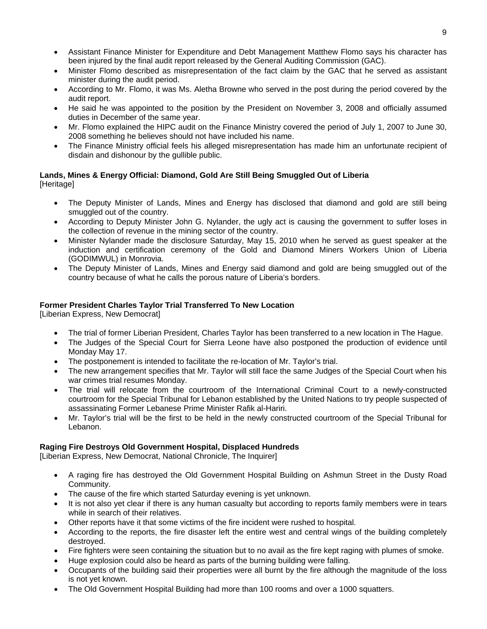- Assistant Finance Minister for Expenditure and Debt Management Matthew Flomo says his character has been injured by the final audit report released by the General Auditing Commission (GAC).
- Minister Flomo described as misrepresentation of the fact claim by the GAC that he served as assistant minister during the audit period.
- According to Mr. Flomo, it was Ms. Aletha Browne who served in the post during the period covered by the audit report.
- He said he was appointed to the position by the President on November 3, 2008 and officially assumed duties in December of the same year.
- Mr. Flomo explained the HIPC audit on the Finance Ministry covered the period of July 1, 2007 to June 30, 2008 something he believes should not have included his name.
- The Finance Ministry official feels his alleged misrepresentation has made him an unfortunate recipient of disdain and dishonour by the gullible public.

#### **Lands, Mines & Energy Official: Diamond, Gold Are Still Being Smuggled Out of Liberia**  [Heritage]

- The Deputy Minister of Lands, Mines and Energy has disclosed that diamond and gold are still being smuggled out of the country.
- According to Deputy Minister John G. Nylander, the ugly act is causing the government to suffer loses in the collection of revenue in the mining sector of the country.
- Minister Nylander made the disclosure Saturday, May 15, 2010 when he served as guest speaker at the induction and certification ceremony of the Gold and Diamond Miners Workers Union of Liberia (GODIMWUL) in Monrovia.
- The Deputy Minister of Lands, Mines and Energy said diamond and gold are being smuggled out of the country because of what he calls the porous nature of Liberia's borders.

#### **Former President Charles Taylor Trial Transferred To New Location**

[Liberian Express, New Democrat]

- The trial of former Liberian President, Charles Taylor has been transferred to a new location in The Hague.
- The Judges of the Special Court for Sierra Leone have also postponed the production of evidence until Monday May 17.
- The postponement is intended to facilitate the re-location of Mr. Taylor's trial.
- The new arrangement specifies that Mr. Taylor will still face the same Judges of the Special Court when his war crimes trial resumes Monday.
- The trial will relocate from the courtroom of the International Criminal Court to a newly-constructed courtroom for the Special Tribunal for Lebanon established by the United Nations to try people suspected of assassinating Former Lebanese Prime Minister Rafik al-Hariri.
- Mr. Taylor's trial will be the first to be held in the newly constructed courtroom of the Special Tribunal for Lebanon.

### **Raging Fire Destroys Old Government Hospital, Displaced Hundreds**

[Liberian Express, New Democrat, National Chronicle, The Inquirer]

- A raging fire has destroyed the Old Government Hospital Building on Ashmun Street in the Dusty Road Community.
- The cause of the fire which started Saturday evening is yet unknown.
- It is not also yet clear if there is any human casualty but according to reports family members were in tears while in search of their relatives.
- Other reports have it that some victims of the fire incident were rushed to hospital.
- According to the reports, the fire disaster left the entire west and central wings of the building completely destroyed.
- Fire fighters were seen containing the situation but to no avail as the fire kept raging with plumes of smoke.
- Huge explosion could also be heard as parts of the burning building were falling.
- Occupants of the building said their properties were all burnt by the fire although the magnitude of the loss is not yet known.
- The Old Government Hospital Building had more than 100 rooms and over a 1000 squatters.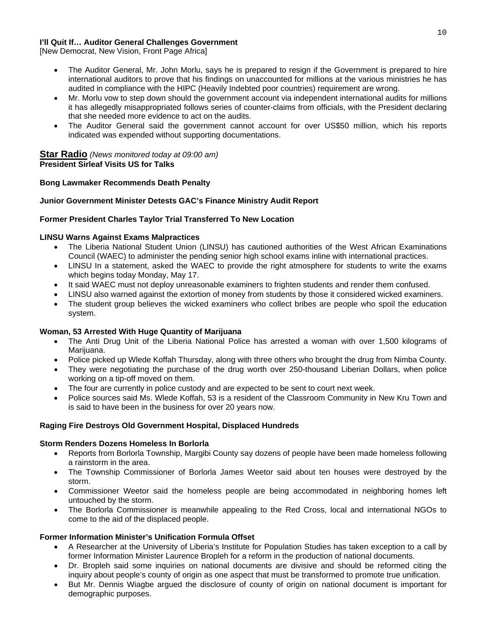#### **I'll Quit If… Auditor General Challenges Government**

[New Democrat, New Vision, Front Page Africa]

- The Auditor General, Mr. John Morlu, says he is prepared to resign if the Government is prepared to hire international auditors to prove that his findings on unaccounted for millions at the various ministries he has audited in compliance with the HIPC (Heavily Indebted poor countries) requirement are wrong.
- Mr. Morlu vow to step down should the government account via independent international audits for millions it has allegedly misappropriated follows series of counter-claims from officials, with the President declaring that she needed more evidence to act on the audits.
- The Auditor General said the government cannot account for over US\$50 million, which his reports indicated was expended without supporting documentations.

#### **Star Radio** *(News monitored today at 09:00 am)* **President Sirleaf Visits US for Talks**

#### **Bong Lawmaker Recommends Death Penalty**

#### **Junior Government Minister Detests GAC's Finance Ministry Audit Report**

#### **Former President Charles Taylor Trial Transferred To New Location**

#### **LINSU Warns Against Exams Malpractices**

- The Liberia National Student Union (LINSU) has cautioned authorities of the West African Examinations Council (WAEC) to administer the pending senior high school exams inline with international practices.
- LINSU In a statement, asked the WAEC to provide the right atmosphere for students to write the exams which begins today Monday, May 17.
- It said WAEC must not deploy unreasonable examiners to frighten students and render them confused.
- LINSU also warned against the extortion of money from students by those it considered wicked examiners.
- The student group believes the wicked examiners who collect bribes are people who spoil the education system.

#### **Woman, 53 Arrested With Huge Quantity of Marijuana**

- The Anti Drug Unit of the Liberia National Police has arrested a woman with over 1,500 kilograms of Marijuana.
- Police picked up Wlede Koffah Thursday, along with three others who brought the drug from Nimba County.
- They were negotiating the purchase of the drug worth over 250-thousand Liberian Dollars, when police working on a tip-off moved on them.
- The four are currently in police custody and are expected to be sent to court next week.
- Police sources said Ms. Wlede Koffah, 53 is a resident of the Classroom Community in New Kru Town and is said to have been in the business for over 20 years now.

#### **Raging Fire Destroys Old Government Hospital, Displaced Hundreds**

#### **Storm Renders Dozens Homeless In Borlorla**

- Reports from Borlorla Township, Margibi County say dozens of people have been made homeless following a rainstorm in the area.
- The Township Commissioner of Borlorla James Weetor said about ten houses were destroyed by the storm.
- Commissioner Weetor said the homeless people are being accommodated in neighboring homes left untouched by the storm.
- The Borlorla Commissioner is meanwhile appealing to the Red Cross, local and international NGOs to come to the aid of the displaced people.

#### **Former Information Minister's Unification Formula Offset**

- A Researcher at the University of Liberia's Institute for Population Studies has taken exception to a call by former Information Minister Laurence Bropleh for a reform in the production of national documents.
- Dr. Bropleh said some inquiries on national documents are divisive and should be reformed citing the inquiry about people's county of origin as one aspect that must be transformed to promote true unification.
- But Mr. Dennis Wiagbe argued the disclosure of county of origin on national document is important for demographic purposes.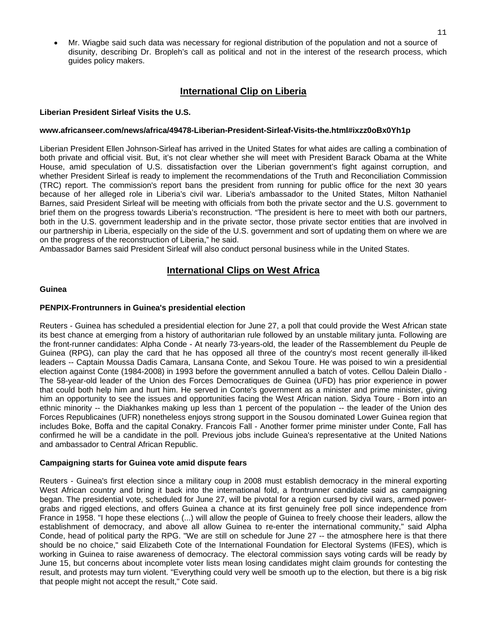• Mr. Wiagbe said such data was necessary for regional distribution of the population and not a source of disunity, describing Dr. Bropleh's call as political and not in the interest of the research process, which guides policy makers.

### **International Clip on Liberia**

#### **Liberian President Sirleaf Visits the U.S.**

#### **www.africanseer.com/news/africa/49478-Liberian-President-Sirleaf-Visits-the.html#ixzz0oBx0Yh1p**

Liberian President Ellen Johnson-Sirleaf has arrived in the United States for what aides are calling a combination of both private and official visit. But, it's not clear whether she will meet with President Barack Obama at the White House, amid speculation of U.S. dissatisfaction over the Liberian government's fight against corruption, and whether President Sirleaf is ready to implement the recommendations of the Truth and Reconciliation Commission (TRC) report. The commission's report bans the president from running for public office for the next 30 years because of her alleged role in Liberia's civil war. Liberia's ambassador to the United States, Milton Nathaniel Barnes, said President Sirleaf will be meeting with officials from both the private sector and the U.S. government to brief them on the progress towards Liberia's reconstruction. "The president is here to meet with both our partners, both in the U.S. government leadership and in the private sector, those private sector entities that are involved in our partnership in Liberia, especially on the side of the U.S. government and sort of updating them on where we are on the progress of the reconstruction of Liberia," he said.

Ambassador Barnes said President Sirleaf will also conduct personal business while in the United States.

### **International Clips on West Africa**

#### **Guinea**

#### **PENPIX-Frontrunners in Guinea's presidential election**

Reuters - Guinea has scheduled a presidential election for June 27, a poll that could provide the West African state its best chance at emerging from a history of authoritarian rule followed by an unstable military junta. Following are the front-runner candidates: Alpha Conde - At nearly 73-years-old, the leader of the Rassemblement du Peuple de Guinea (RPG), can play the card that he has opposed all three of the country's most recent generally ill-liked leaders -- Captain Moussa Dadis Camara, Lansana Conte, and Sekou Toure. He was poised to win a presidential election against Conte (1984-2008) in 1993 before the government annulled a batch of votes. Cellou Dalein Diallo - The 58-year-old leader of the Union des Forces Democratiques de Guinea (UFD) has prior experience in power that could both help him and hurt him. He served in Conte's government as a minister and prime minister, giving him an opportunity to see the issues and opportunities facing the West African nation. Sidya Toure - Born into an ethnic minority -- the Diakhankes making up less than 1 percent of the population -- the leader of the Union des Forces Republicaines (UFR) nonetheless enjoys strong support in the Sousou dominated Lower Guinea region that includes Boke, Boffa and the capital Conakry. Francois Fall - Another former prime minister under Conte, Fall has confirmed he will be a candidate in the poll. Previous jobs include Guinea's representative at the United Nations and ambassador to Central African Republic.

#### **Campaigning starts for Guinea vote amid dispute fears**

Reuters - Guinea's first election since a military coup in 2008 must establish democracy in the mineral exporting West African country and bring it back into the international fold, a frontrunner candidate said as campaigning began. The presidential vote, scheduled for June 27, will be pivotal for a region cursed by civil wars, armed powergrabs and rigged elections, and offers Guinea a chance at its first genuinely free poll since independence from France in 1958. "I hope these elections (...) will allow the people of Guinea to freely choose their leaders, allow the establishment of democracy, and above all allow Guinea to re-enter the international community," said Alpha Conde, head of political party the RPG. "We are still on schedule for June 27 -- the atmosphere here is that there should be no choice," said Elizabeth Cote of the International Foundation for Electoral Systems (IFES), which is working in Guinea to raise awareness of democracy. The electoral commission says voting cards will be ready by June 15, but concerns about incomplete voter lists mean losing candidates might claim grounds for contesting the result, and protests may turn violent. "Everything could very well be smooth up to the election, but there is a big risk that people might not accept the result," Cote said.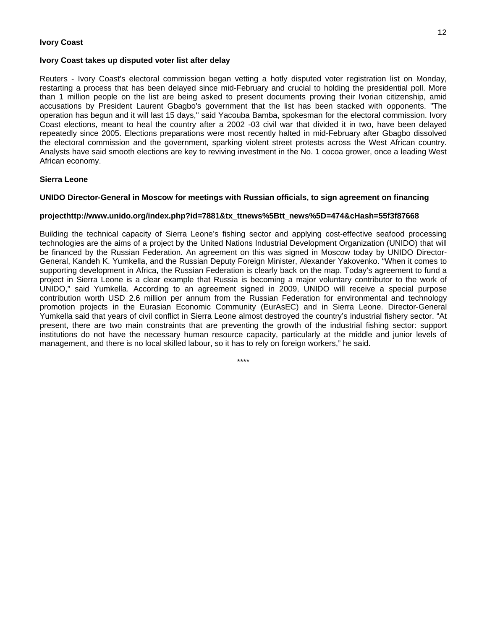#### **Ivory Coast**

#### **Ivory Coast takes up disputed voter list after delay**

Reuters - Ivory Coast's electoral commission began vetting a hotly disputed voter registration list on Monday, restarting a process that has been delayed since mid-February and crucial to holding the presidential poll. More than 1 million people on the list are being asked to present documents proving their Ivorian citizenship, amid accusations by President Laurent Gbagbo's government that the list has been stacked with opponents. "The operation has begun and it will last 15 days," said Yacouba Bamba, spokesman for the electoral commission. Ivory Coast elections, meant to heal the country after a 2002 -03 civil war that divided it in two, have been delayed repeatedly since 2005. Elections preparations were most recently halted in mid-February after Gbagbo dissolved the electoral commission and the government, sparking violent street protests across the West African country. Analysts have said smooth elections are key to reviving investment in the No. 1 cocoa grower, once a leading West African economy.

#### **Sierra Leone**

#### **UNIDO Director-General in Moscow for meetings with Russian officials, to sign agreement on financing**

#### **projecthttp://www.unido.org/index.php?id=7881&tx\_ttnews%5Btt\_news%5D=474&cHash=55f3f87668**

Building the technical capacity of Sierra Leone's fishing sector and applying cost-effective seafood processing technologies are the aims of a project by the United Nations Industrial Development Organization (UNIDO) that will be financed by the Russian Federation. An agreement on this was signed in Moscow today by UNIDO Director-General, Kandeh K. Yumkella, and the Russian Deputy Foreign Minister, Alexander Yakovenko. "When it comes to supporting development in Africa, the Russian Federation is clearly back on the map. Today's agreement to fund a project in Sierra Leone is a clear example that Russia is becoming a major voluntary contributor to the work of UNIDO," said Yumkella. According to an agreement signed in 2009, UNIDO will receive a special purpose contribution worth USD 2.6 million per annum from the Russian Federation for environmental and technology promotion projects in the Eurasian Economic Community (EurAsEC) and in Sierra Leone. Director-General Yumkella said that years of civil conflict in Sierra Leone almost destroyed the country's industrial fishery sector. "At present, there are two main constraints that are preventing the growth of the industrial fishing sector: support institutions do not have the necessary human resource capacity, particularly at the middle and junior levels of management, and there is no local skilled labour, so it has to rely on foreign workers," he said.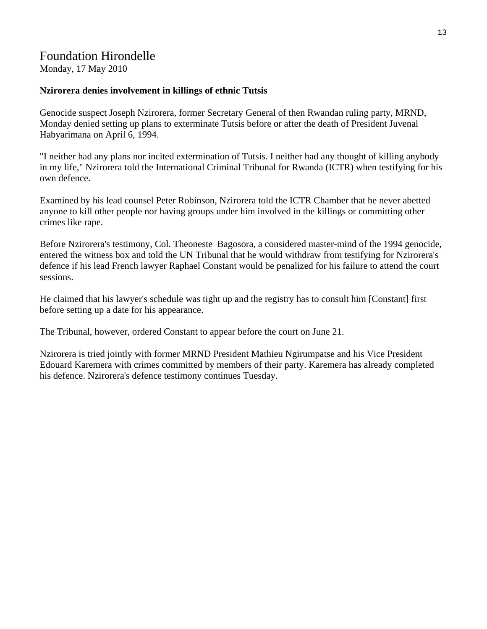## Foundation Hirondelle

Monday, 17 May 2010

### **Nzirorera denies involvement in killings of ethnic Tutsis**

Genocide suspect Joseph Nzirorera, former Secretary General of then Rwandan ruling party, MRND, Monday denied setting up plans to exterminate Tutsis before or after the death of President Juvenal Habyarimana on April 6, 1994.

"I neither had any plans nor incited extermination of Tutsis. I neither had any thought of killing anybody in my life," Nzirorera told the International Criminal Tribunal for Rwanda (ICTR) when testifying for his own defence.

Examined by his lead counsel Peter Robinson, Nzirorera told the ICTR Chamber that he never abetted anyone to kill other people nor having groups under him involved in the killings or committing other crimes like rape.

Before Nzirorera's testimony, Col. Theoneste Bagosora, a considered master-mind of the 1994 genocide, entered the witness box and told the UN Tribunal that he would withdraw from testifying for Nzirorera's defence if his lead French lawyer Raphael Constant would be penalized for his failure to attend the court sessions.

He claimed that his lawyer's schedule was tight up and the registry has to consult him [Constant] first before setting up a date for his appearance.

The Tribunal, however, ordered Constant to appear before the court on June 21.

Nzirorera is tried jointly with former MRND President Mathieu Ngirumpatse and his Vice President Edouard Karemera with crimes committed by members of their party. Karemera has already completed his defence. Nzirorera's defence testimony continues Tuesday.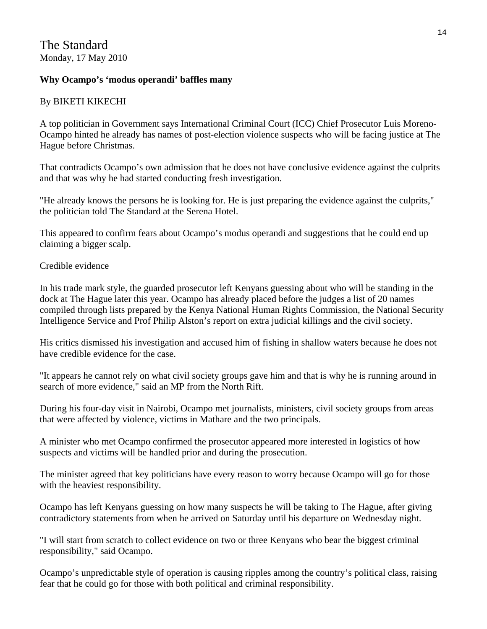### **Why Ocampo's 'modus operandi' baffles many**

### By BIKETI KIKECHI

A top politician in Government says International Criminal Court (ICC) Chief Prosecutor Luis Moreno-Ocampo hinted he already has names of post-election violence suspects who will be facing justice at The Hague before Christmas.

That contradicts Ocampo's own admission that he does not have conclusive evidence against the culprits and that was why he had started conducting fresh investigation.

"He already knows the persons he is looking for. He is just preparing the evidence against the culprits," the politician told The Standard at the Serena Hotel.

This appeared to confirm fears about Ocampo's modus operandi and suggestions that he could end up claiming a bigger scalp.

Credible evidence

In his trade mark style, the guarded prosecutor left Kenyans guessing about who will be standing in the dock at The Hague later this year. Ocampo has already placed before the judges a list of 20 names compiled through lists prepared by the Kenya National Human Rights Commission, the National Security Intelligence Service and Prof Philip Alston's report on extra judicial killings and the civil society.

His critics dismissed his investigation and accused him of fishing in shallow waters because he does not have credible evidence for the case.

"It appears he cannot rely on what civil society groups gave him and that is why he is running around in search of more evidence," said an MP from the North Rift.

During his four-day visit in Nairobi, Ocampo met journalists, ministers, civil society groups from areas that were affected by violence, victims in Mathare and the two principals.

A minister who met Ocampo confirmed the prosecutor appeared more interested in logistics of how suspects and victims will be handled prior and during the prosecution.

The minister agreed that key politicians have every reason to worry because Ocampo will go for those with the heaviest responsibility.

Ocampo has left Kenyans guessing on how many suspects he will be taking to The Hague, after giving contradictory statements from when he arrived on Saturday until his departure on Wednesday night.

"I will start from scratch to collect evidence on two or three Kenyans who bear the biggest criminal responsibility," said Ocampo.

Ocampo's unpredictable style of operation is causing ripples among the country's political class, raising fear that he could go for those with both political and criminal responsibility.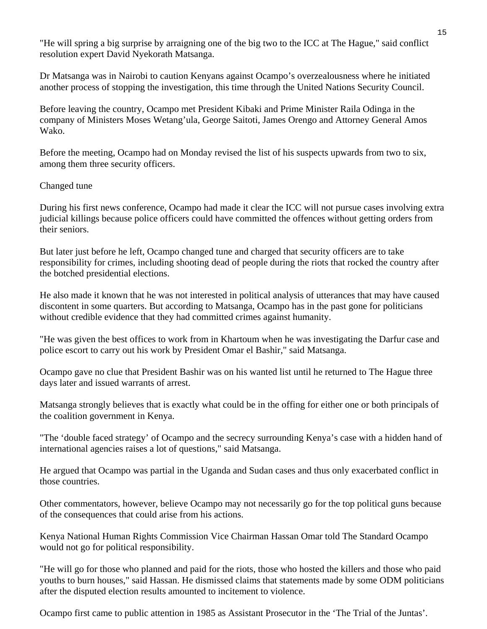"He will spring a big surprise by arraigning one of the big two to the ICC at The Hague," said conflict resolution expert David Nyekorath Matsanga.

Dr Matsanga was in Nairobi to caution Kenyans against Ocampo's overzealousness where he initiated another process of stopping the investigation, this time through the United Nations Security Council.

Before leaving the country, Ocampo met President Kibaki and Prime Minister Raila Odinga in the company of Ministers Moses Wetang'ula, George Saitoti, James Orengo and Attorney General Amos Wako.

Before the meeting, Ocampo had on Monday revised the list of his suspects upwards from two to six, among them three security officers.

### Changed tune

During his first news conference, Ocampo had made it clear the ICC will not pursue cases involving extra judicial killings because police officers could have committed the offences without getting orders from their seniors.

But later just before he left, Ocampo changed tune and charged that security officers are to take responsibility for crimes, including shooting dead of people during the riots that rocked the country after the botched presidential elections.

He also made it known that he was not interested in political analysis of utterances that may have caused discontent in some quarters. But according to Matsanga, Ocampo has in the past gone for politicians without credible evidence that they had committed crimes against humanity.

"He was given the best offices to work from in Khartoum when he was investigating the Darfur case and police escort to carry out his work by President Omar el Bashir," said Matsanga.

Ocampo gave no clue that President Bashir was on his wanted list until he returned to The Hague three days later and issued warrants of arrest.

Matsanga strongly believes that is exactly what could be in the offing for either one or both principals of the coalition government in Kenya.

"The 'double faced strategy' of Ocampo and the secrecy surrounding Kenya's case with a hidden hand of international agencies raises a lot of questions," said Matsanga.

He argued that Ocampo was partial in the Uganda and Sudan cases and thus only exacerbated conflict in those countries.

Other commentators, however, believe Ocampo may not necessarily go for the top political guns because of the consequences that could arise from his actions.

Kenya National Human Rights Commission Vice Chairman Hassan Omar told The Standard Ocampo would not go for political responsibility.

"He will go for those who planned and paid for the riots, those who hosted the killers and those who paid youths to burn houses," said Hassan. He dismissed claims that statements made by some ODM politicians after the disputed election results amounted to incitement to violence.

Ocampo first came to public attention in 1985 as Assistant Prosecutor in the 'The Trial of the Juntas'.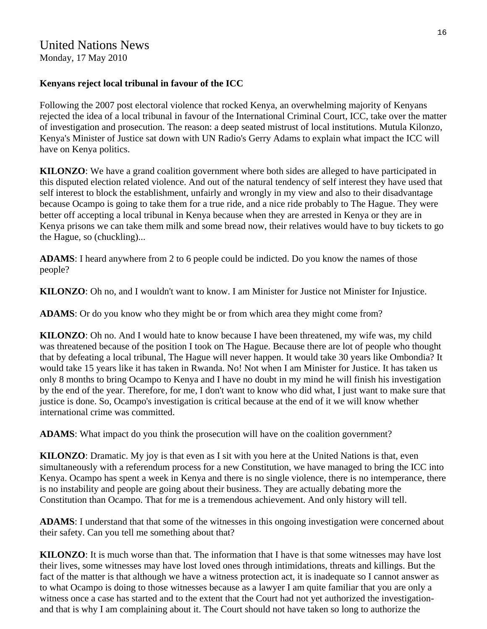# United Nations News

Monday, 17 May 2010

### **Kenyans reject local tribunal in favour of the ICC**

Following the 2007 post electoral violence that rocked Kenya, an overwhelming majority of Kenyans rejected the idea of a local tribunal in favour of the International Criminal Court, ICC, take over the matter of investigation and prosecution. The reason: a deep seated mistrust of local institutions. Mutula Kilonzo, Kenya's Minister of Justice sat down with UN Radio's Gerry Adams to explain what impact the ICC will have on Kenya politics.

**KILONZO**: We have a grand coalition government where both sides are alleged to have participated in this disputed election related violence. And out of the natural tendency of self interest they have used that self interest to block the establishment, unfairly and wrongly in my view and also to their disadvantage because Ocampo is going to take them for a true ride, and a nice ride probably to The Hague. They were better off accepting a local tribunal in Kenya because when they are arrested in Kenya or they are in Kenya prisons we can take them milk and some bread now, their relatives would have to buy tickets to go the Hague, so (chuckling)...

**ADAMS**: I heard anywhere from 2 to 6 people could be indicted. Do you know the names of those people?

**KILONZO**: Oh no, and I wouldn't want to know. I am Minister for Justice not Minister for Injustice.

**ADAMS**: Or do you know who they might be or from which area they might come from?

**KILONZO**: Oh no. And I would hate to know because I have been threatened, my wife was, my child was threatened because of the position I took on The Hague. Because there are lot of people who thought that by defeating a local tribunal, The Hague will never happen. It would take 30 years like Ombondia? It would take 15 years like it has taken in Rwanda. No! Not when I am Minister for Justice. It has taken us only 8 months to bring Ocampo to Kenya and I have no doubt in my mind he will finish his investigation by the end of the year. Therefore, for me, I don't want to know who did what, I just want to make sure that justice is done. So, Ocampo's investigation is critical because at the end of it we will know whether international crime was committed.

**ADAMS**: What impact do you think the prosecution will have on the coalition government?

**KILONZO**: Dramatic. My joy is that even as I sit with you here at the United Nations is that, even simultaneously with a referendum process for a new Constitution, we have managed to bring the ICC into Kenya. Ocampo has spent a week in Kenya and there is no single violence, there is no intemperance, there is no instability and people are going about their business. They are actually debating more the Constitution than Ocampo. That for me is a tremendous achievement. And only history will tell.

**ADAMS**: I understand that that some of the witnesses in this ongoing investigation were concerned about their safety. Can you tell me something about that?

**KILONZO**: It is much worse than that. The information that I have is that some witnesses may have lost their lives, some witnesses may have lost loved ones through intimidations, threats and killings. But the fact of the matter is that although we have a witness protection act, it is inadequate so I cannot answer as to what Ocampo is doing to those witnesses because as a lawyer I am quite familiar that you are only a witness once a case has started and to the extent that the Court had not yet authorized the investigationand that is why I am complaining about it. The Court should not have taken so long to authorize the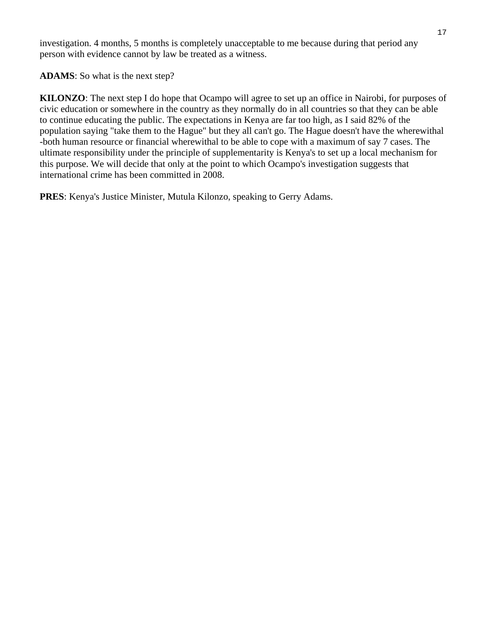investigation. 4 months, 5 months is completely unacceptable to me because during that period any person with evidence cannot by law be treated as a witness.

**ADAMS**: So what is the next step?

**KILONZO**: The next step I do hope that Ocampo will agree to set up an office in Nairobi, for purposes of civic education or somewhere in the country as they normally do in all countries so that they can be able to continue educating the public. The expectations in Kenya are far too high, as I said 82% of the population saying "take them to the Hague" but they all can't go. The Hague doesn't have the wherewithal -both human resource or financial wherewithal to be able to cope with a maximum of say 7 cases. The ultimate responsibility under the principle of supplementarity is Kenya's to set up a local mechanism for this purpose. We will decide that only at the point to which Ocampo's investigation suggests that international crime has been committed in 2008.

**PRES**: Kenya's Justice Minister, Mutula Kilonzo, speaking to Gerry Adams.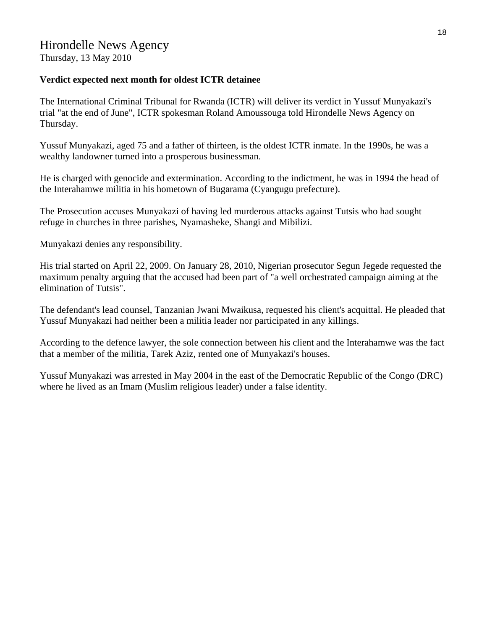Thursday, 13 May 2010

### **Verdict expected next month for oldest ICTR detainee**

The International Criminal Tribunal for Rwanda (ICTR) will deliver its verdict in Yussuf Munyakazi's trial "at the end of June", ICTR spokesman Roland Amoussouga told Hirondelle News Agency on Thursday.

Yussuf Munyakazi, aged 75 and a father of thirteen, is the oldest ICTR inmate. In the 1990s, he was a wealthy landowner turned into a prosperous businessman.

He is charged with genocide and extermination. According to the indictment, he was in 1994 the head of the Interahamwe militia in his hometown of Bugarama (Cyangugu prefecture).

The Prosecution accuses Munyakazi of having led murderous attacks against Tutsis who had sought refuge in churches in three parishes, Nyamasheke, Shangi and Mibilizi.

Munyakazi denies any responsibility.

His trial started on April 22, 2009. On January 28, 2010, Nigerian prosecutor Segun Jegede requested the maximum penalty arguing that the accused had been part of "a well orchestrated campaign aiming at the elimination of Tutsis".

The defendant's lead counsel, Tanzanian Jwani Mwaikusa, requested his client's acquittal. He pleaded that Yussuf Munyakazi had neither been a militia leader nor participated in any killings.

According to the defence lawyer, the sole connection between his client and the Interahamwe was the fact that a member of the militia, Tarek Aziz, rented one of Munyakazi's houses.

Yussuf Munyakazi was arrested in May 2004 in the east of the Democratic Republic of the Congo (DRC) where he lived as an Imam (Muslim religious leader) under a false identity.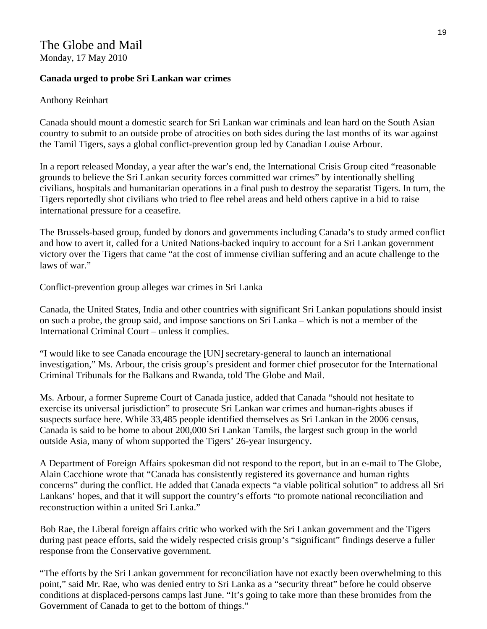### The Globe and Mail Monday, 17 May 2010

**Canada urged to probe Sri Lankan war crimes** 

### Anthony Reinhart

Canada should mount a domestic search for Sri Lankan war criminals and lean hard on the South Asian country to submit to an outside probe of atrocities on both sides during the last months of its war against the Tamil Tigers, says a global conflict-prevention group led by Canadian Louise Arbour.

In a report released Monday, a year after the war's end, the International Crisis Group cited "reasonable grounds to believe the Sri Lankan security forces committed war crimes" by intentionally shelling civilians, hospitals and humanitarian operations in a final push to destroy the separatist Tigers. In turn, the Tigers reportedly shot civilians who tried to flee rebel areas and held others captive in a bid to raise international pressure for a ceasefire.

The Brussels-based group, funded by donors and governments including Canada's to study armed conflict and how to avert it, called for a United Nations-backed inquiry to account for a Sri Lankan government victory over the Tigers that came "at the cost of immense civilian suffering and an acute challenge to the laws of war."

Conflict-prevention group alleges war crimes in Sri Lanka

Canada, the United States, India and other countries with significant Sri Lankan populations should insist on such a probe, the group said, and impose sanctions on Sri Lanka – which is not a member of the International Criminal Court – unless it complies.

"I would like to see Canada encourage the [UN] secretary-general to launch an international investigation," Ms. Arbour, the crisis group's president and former chief prosecutor for the International Criminal Tribunals for the Balkans and Rwanda, told The Globe and Mail.

Ms. Arbour, a former Supreme Court of Canada justice, added that Canada "should not hesitate to exercise its universal jurisdiction" to prosecute Sri Lankan war crimes and human-rights abuses if suspects surface here. While 33,485 people identified themselves as Sri Lankan in the 2006 census, Canada is said to be home to about 200,000 Sri Lankan Tamils, the largest such group in the world outside Asia, many of whom supported the Tigers' 26-year insurgency.

A Department of Foreign Affairs spokesman did not respond to the report, but in an e-mail to The Globe, Alain Cacchione wrote that "Canada has consistently registered its governance and human rights concerns" during the conflict. He added that Canada expects "a viable political solution" to address all Sri Lankans' hopes, and that it will support the country's efforts "to promote national reconciliation and reconstruction within a united Sri Lanka."

Bob Rae, the Liberal foreign affairs critic who worked with the Sri Lankan government and the Tigers during past peace efforts, said the widely respected crisis group's "significant" findings deserve a fuller response from the Conservative government.

"The efforts by the Sri Lankan government for reconciliation have not exactly been overwhelming to this point," said Mr. Rae, who was denied entry to Sri Lanka as a "security threat" before he could observe conditions at displaced-persons camps last June. "It's going to take more than these bromides from the Government of Canada to get to the bottom of things."